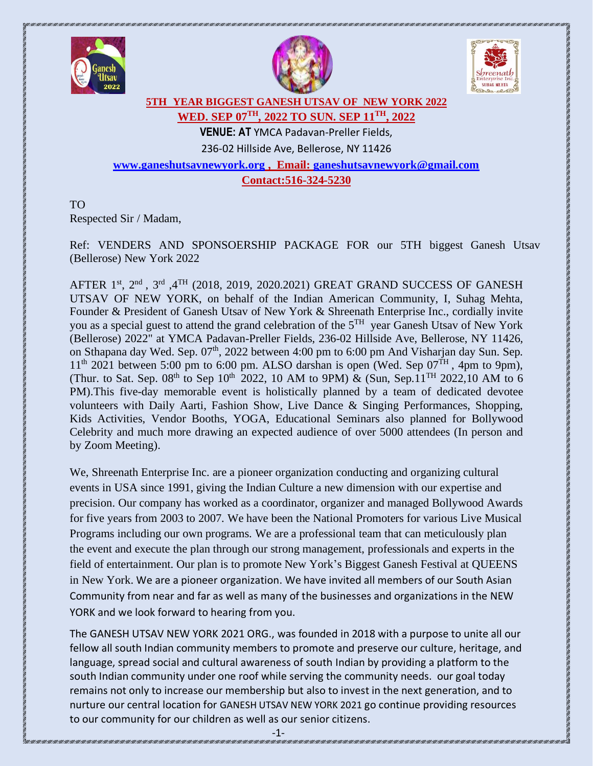





### **5TH YEAR BIGGEST GANESH UTSAV OF NEW YORK 2022 WED. SEP 07TH, 2022 TO SUN. SEP 11 TH, 2022**

**VENUE: AT** YMCA Padavan-Preller Fields, 236-02 Hillside Ave, Bellerose, NY 11426 **[www.ganeshutsavnewyork.org](http://www.ganeshutsavnewyork.org/) , Email: [ganeshutsavnewyork@gmail.com](mailto:ganeshutsavnewyork@gmail.com)** 

**Contact:516-324-5230**

TO Respected Sir / Madam,

Ref: VENDERS AND SPONSOERSHIP PACKAGE FOR our 5TH biggest Ganesh Utsav (Bellerose) New York 2022

AFTER  $1^\text{st}$ ,  $2^\text{nd}$ ,  $3^\text{rd}$ ,  $4^\text{TH}$  (2018, 2019, 2020.2021) GREAT GRAND SUCCESS OF GANESH UTSAV OF NEW YORK, on behalf of the Indian American Community, I, Suhag Mehta, Founder & President of Ganesh Utsav of New York & Shreenath Enterprise Inc., cordially invite you as a special guest to attend the grand celebration of the 5<sup>TH</sup> year Ganesh Utsav of New York (Bellerose) 2022" at YMCA Padavan-Preller Fields, 236-02 Hillside Ave, Bellerose, NY 11426, on Sthapana day Wed. Sep. 07<sup>th</sup>, 2022 between 4:00 pm to 6:00 pm And Visharjan day Sun. Sep.  $11<sup>th</sup>$  2021 between 5:00 pm to 6:00 pm. ALSO darshan is open (Wed. Sep 07<sup>TH</sup>, 4pm to 9pm), (Thur. to Sat. Sep. 08<sup>th</sup> to Sep 10<sup>th</sup> 2022, 10 AM to 9PM) & (Sun, Sep.11<sup>TH</sup> 2022,10 AM to 6 PM).This five-day memorable event is holistically planned by a team of dedicated devotee volunteers with Daily Aarti, Fashion Show, Live Dance & Singing Performances, Shopping, Kids Activities, Vendor Booths, YOGA, Educational Seminars also planned for Bollywood Celebrity and much more drawing an expected audience of over 5000 attendees (In person and by Zoom Meeting).

We, Shreenath Enterprise Inc. are a pioneer organization conducting and organizing cultural events in USA since 1991, giving the Indian Culture a new dimension with our expertise and precision. Our company has worked as a coordinator, organizer and managed Bollywood Awards for five years from 2003 to 2007. We have been the National Promoters for various Live Musical Programs including our own programs. We are a professional team that can meticulously plan the event and execute the plan through our strong management, professionals and experts in the field of entertainment. Our plan is to promote New York's Biggest Ganesh Festival at QUEENS in New York. We are a pioneer organization. We have invited all members of our South Asian Community from near and far as well as many of the businesses and organizations in the NEW YORK and we look forward to hearing from you.

The GANESH UTSAV NEW YORK 2021 ORG., was founded in 2018 with a purpose to unite all our fellow all south Indian community members to promote and preserve our culture, heritage, and language, spread social and cultural awareness of south Indian by providing a platform to the south Indian community under one roof while serving the community needs. our goal today remains not only to increase our membership but also to invest in the next generation, and to nurture our central location for GANESH UTSAV NEW YORK 2021 go continue providing resources to our community for our children as well as our senior citizens.

-1-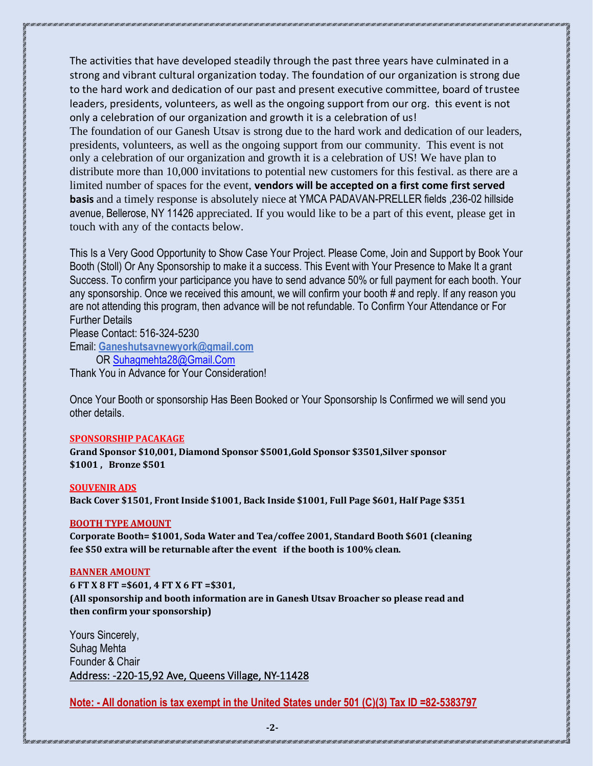The activities that have developed steadily through the past three years have culminated in a strong and vibrant cultural organization today. The foundation of our organization is strong due to the hard work and dedication of our past and present executive committee, board of trustee leaders, presidents, volunteers, as well as the ongoing support from our org. this event is not only a celebration of our organization and growth it is a celebration of us! The foundation of our Ganesh Utsav is strong due to the hard work and dedication of our leaders, presidents, volunteers, as well as the ongoing support from our community. This event is not only a celebration of our organization and growth it is a celebration of US! We have plan to distribute more than 10,000 invitations to potential new customers for this festival. as there are a limited number of spaces for the event, **vendors will be accepted on a first come first served** 

**basis** and a timely response is absolutely niece at YMCA PADAVAN-PRELLER fields ,236-02 hillside avenue, Bellerose, NY 11426 appreciated. If you would like to be a part of this event, please get in touch with any of the contacts below.

This Is a Very Good Opportunity to Show Case Your Project. Please Come, Join and Support by Book Your Booth (Stoll) Or Any Sponsorship to make it a success. This Event with Your Presence to Make It a grant Success. To confirm your participance you have to send advance 50% or full payment for each booth. Your any sponsorship. Once we received this amount, we will confirm your booth # and reply. If any reason you are not attending this program, then advance will be not refundable. To Confirm Your Attendance or For Further Details

Please Contact: 516-324-5230 Email: **Ganeshutsavnewyork@gmail.com**

OR [Suhagmehta28@Gmail.Com](mailto:Suhagmehta28@Gmail.Com) 

Thank You in Advance for Your Consideration!

Once Your Booth or sponsorship Has Been Booked or Your Sponsorship Is Confirmed we will send you other details.

#### **SPONSORSHIP PACAKAGE**

**Grand Sponsor \$10,001, Diamond Sponsor \$5001,Gold Sponsor \$3501,Silver sponsor \$1001 , Bronze \$501** 

#### **SOUVENIR ADS**

**Back Cover \$1501, Front Inside \$1001, Back Inside \$1001, Full Page \$601, Half Page \$351**

#### **BOOTH TYPE AMOUNT**

**Corporate Booth= \$1001, Soda Water and Tea/coffee 2001, Standard Booth \$601 (cleaning fee \$50 extra will be returnable after the event if the booth is 100% clean.**

#### **BANNER AMOUNT**

**6 FT X 8 FT =\$601, 4 FT X 6 FT =\$301, (All sponsorship and booth information are in Ganesh Utsav Broacher so please read and then confirm your sponsorship)**

Yours Sincerely, Suhag Mehta Founder & Chair Address: -220-15,92 Ave, Queens Village, NY-11428

**Note: - All donation is tax exempt in the United States under 501 (C)(3) Tax ID =82-5383797**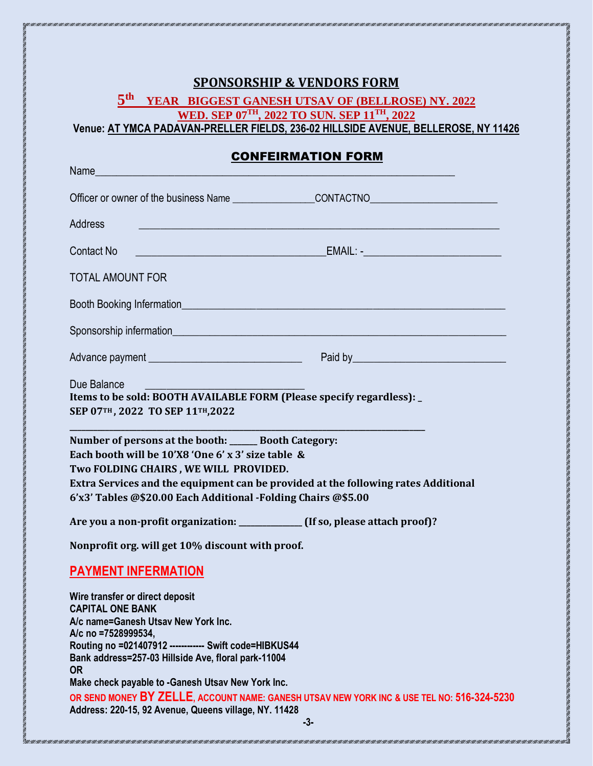|--|

# **5 th YEAR BIGGEST GANESH UTSAV OF (BELLROSE) NY. 2022 WED. SEP 07TH, 2022 TO SUN. SEP 11 TH, 2022**

**Venue: AT YMCA PADAVAN-PRELLER FIELDS, 236-02 HILLSIDE AVENUE, BELLEROSE, NY 11426**

### CONFEIRMATION FORM

| Name                                                                                                                                                                                                                                                                                                        |                                                                                    |
|-------------------------------------------------------------------------------------------------------------------------------------------------------------------------------------------------------------------------------------------------------------------------------------------------------------|------------------------------------------------------------------------------------|
|                                                                                                                                                                                                                                                                                                             |                                                                                    |
| <b>Address</b>                                                                                                                                                                                                                                                                                              |                                                                                    |
| Contact No                                                                                                                                                                                                                                                                                                  |                                                                                    |
| <b>TOTAL AMOUNT FOR</b>                                                                                                                                                                                                                                                                                     |                                                                                    |
|                                                                                                                                                                                                                                                                                                             |                                                                                    |
|                                                                                                                                                                                                                                                                                                             |                                                                                    |
| Advance payment ___________________________________                                                                                                                                                                                                                                                         |                                                                                    |
| Due Balance<br>Items to be sold: BOOTH AVAILABLE FORM (Please specify regardless): _<br>SEP 07TH, 2022 TO SEP 11TH, 2022                                                                                                                                                                                    |                                                                                    |
| Number of persons at the booth: ______ Booth Category:<br>Each booth will be 10'X8 'One 6' x 3' size table &<br>Two FOLDING CHAIRS, WE WILL PROVIDED.<br>6'x3' Tables @\$20.00 Each Additional -Folding Chairs @\$5.00                                                                                      | Extra Services and the equipment can be provided at the following rates Additional |
| Are you a non-profit organization: ____________ (If so, please attach proof)?<br>Nonprofit org. will get 10% discount with proof.                                                                                                                                                                           |                                                                                    |
| <b>PAYMENT INFERMATION</b>                                                                                                                                                                                                                                                                                  |                                                                                    |
| Wire transfer or direct deposit<br><b>CAPITAL ONE BANK</b><br>A/c name=Ganesh Utsay New York Inc.<br>A/c no =7528999534,<br>Routing no =021407912 ------------ Swift code=HIBKUS44<br>Bank address=257-03 Hillside Ave, floral park-11004<br><b>OR</b><br>Make check payable to -Ganesh Utsav New York Inc. |                                                                                    |

TERENTARIA DENGAN SERIKAN SERIKAN SERIKAN SERIKAN SERIKA SERIKA SERIKAN SERIKAN SERIKAN SERIKAN SERIKAN SERIKAN SERIKAN SERIKAN SERIKAN SERIKAN SERIKAN SERIKAN SERIKAN SERIKAN SERIKAN SERIKAN SERIKAN SERIKAN SERIKAN SERIKA